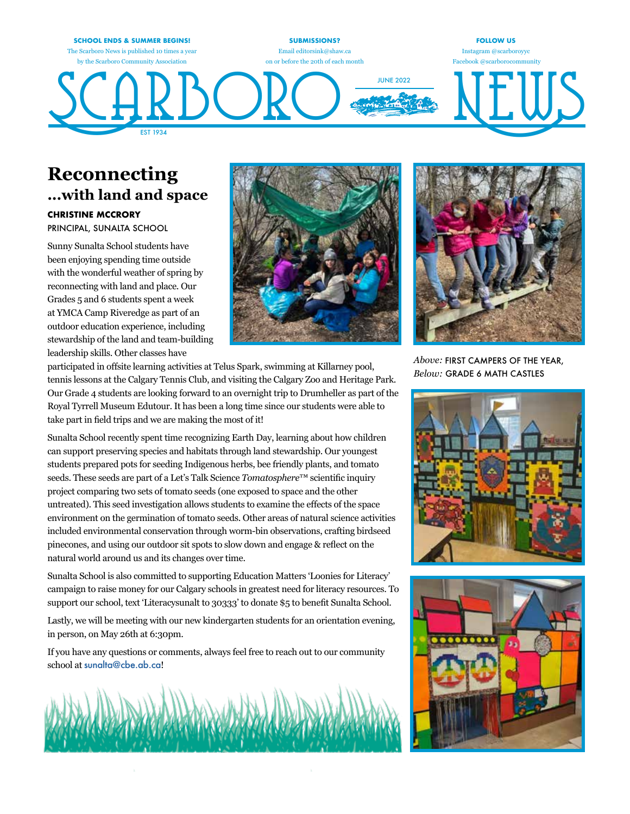

### **Reconnecting ...with land and space**

#### **CHRISTINE MCCRORY**

PRINCIPAL, SUNALTA SCHOOL

Sunny Sunalta School students have been enjoying spending time outside with the wonderful weather of spring by reconnecting with land and place. Our Grades 5 and 6 students spent a week at YMCA Camp Riveredge as part of an outdoor education experience, including stewardship of the land and team-building leadership skills. Other classes have





*Above:* FIRST CAMPERS OF THE YEAR, *Below:* GRADE 6 MATH CASTLES





participated in offsite learning activities at Telus Spark, swimming at Killarney pool, tennis lessons at the Calgary Tennis Club, and visiting the Calgary Zoo and Heritage Park. Our Grade 4 students are looking forward to an overnight trip to Drumheller as part of the Royal Tyrrell Museum Edutour. It has been a long time since our students were able to take part in field trips and we are making the most of it!

Sunalta School recently spent time recognizing Earth Day, learning about how children can support preserving species and habitats through land stewardship. Our youngest students prepared pots for seeding Indigenous herbs, bee friendly plants, and tomato seeds. These seeds are part of a Let's Talk Science *Tomatosphere*™ scientific inquiry project comparing two sets of tomato seeds (one exposed to space and the other untreated). This seed investigation allows students to examine the effects of the space environment on the germination of tomato seeds. Other areas of natural science activities included environmental conservation through worm-bin observations, crafting birdseed pinecones, and using our outdoor sit spots to slow down and engage & reflect on the natural world around us and its changes over time.

Sunalta School is also committed to supporting Education Matters 'Loonies for Literacy' campaign to raise money for our Calgary schools in greatest need for literacy resources. To support our school, text 'Literacysunalt to 30333' to donate \$5 to benefit Sunalta School.

Lastly, we will be meeting with our new kindergarten students for an orientation evening, in person, on May 26th at 6:30pm.

If you have any questions or comments, always feel free to reach out to our community school at sunalta@cbe.ab.ca!

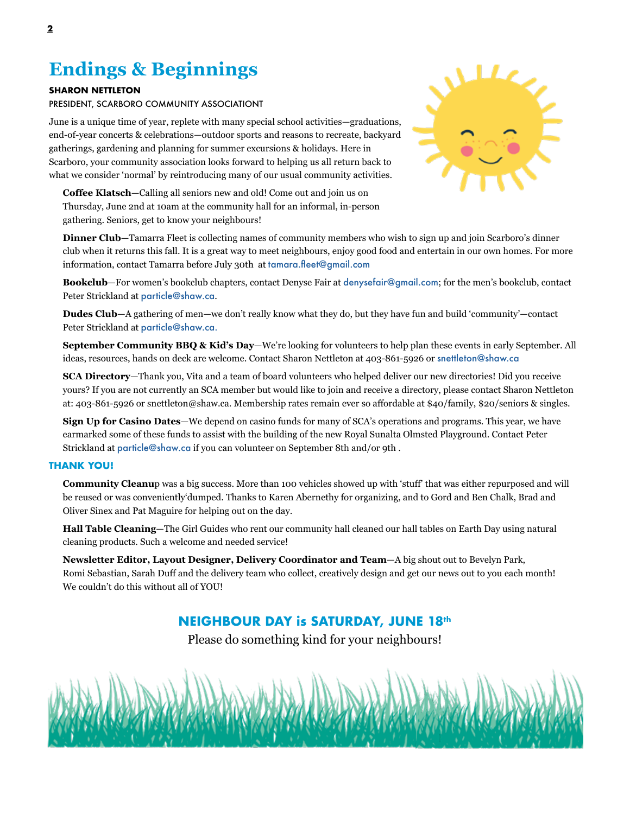# **Endings & Beginnings**

#### **SHARON NETTLETON**

PRESIDENT, SCARBORO COMMUNITY ASSOCIATIONT

June is a unique time of year, replete with many special school activities—graduations, end-of-year concerts & celebrations—outdoor sports and reasons to recreate, backyard gatherings, gardening and planning for summer excursions & holidays. Here in Scarboro, your community association looks forward to helping us all return back to what we consider 'normal' by reintroducing many of our usual community activities.

**Coffee Klatsch**—Calling all seniors new and old! Come out and join us on Thursday, June 2nd at 10am at the community hall for an informal, in-person gathering. Seniors, get to know your neighbours!

**Dinner Club**—Tamarra Fleet is collecting names of community members who wish to sign up and join Scarboro's dinner club when it returns this fall. It is a great way to meet neighbours, enjoy good food and entertain in our own homes. For more information, contact Tamarra before July 30th at tamara.fleet@gmail.com

**Bookclub**—For women's bookclub chapters, contact Denyse Fair at denysefair@gmail.com; for the men's bookclub, contact Peter Strickland at particle@shaw.ca.

**Dudes Club**—A gathering of men—we don't really know what they do, but they have fun and build 'community'—contact Peter Strickland at particle@shaw.ca.

**September Community BBQ & Kid's Day**—We're looking for volunteers to help plan these events in early September. All ideas, resources, hands on deck are welcome. Contact Sharon Nettleton at 403-861-5926 or snettleton@shaw.ca

**SCA Directory**—Thank you, Vita and a team of board volunteers who helped deliver our new directories! Did you receive yours? If you are not currently an SCA member but would like to join and receive a directory, please contact Sharon Nettleton at: 403-861-5926 or snettleton@shaw.ca. Membership rates remain ever so affordable at \$40/family, \$20/seniors & singles.

**Sign Up for Casino Dates**—We depend on casino funds for many of SCA's operations and programs. This year, we have earmarked some of these funds to assist with the building of the new Royal Sunalta Olmsted Playground. Contact Peter Strickland at particle@shaw.ca if you can volunteer on September 8th and/or 9th .

#### **THANK YOU!**

**Community Cleanu**p was a big success. More than 100 vehicles showed up with 'stuff' that was either repurposed and will be reused or was conveniently'dumped. Thanks to Karen Abernethy for organizing, and to Gord and Ben Chalk, Brad and Oliver Sinex and Pat Maguire for helping out on the day.

**Hall Table Cleaning**—The Girl Guides who rent our community hall cleaned our hall tables on Earth Day using natural cleaning products. Such a welcome and needed service!

**Newsletter Editor, Layout Designer, Delivery Coordinator and Team**—A big shout out to Bevelyn Park, Romi Sebastian, Sarah Duff and the delivery team who collect, creatively design and get our news out to you each month! We couldn't do this without all of YOU!

### **NEIGHBOUR DAY is SATURDAY, JUNE 18th**

Please do something kind for your neighbours!



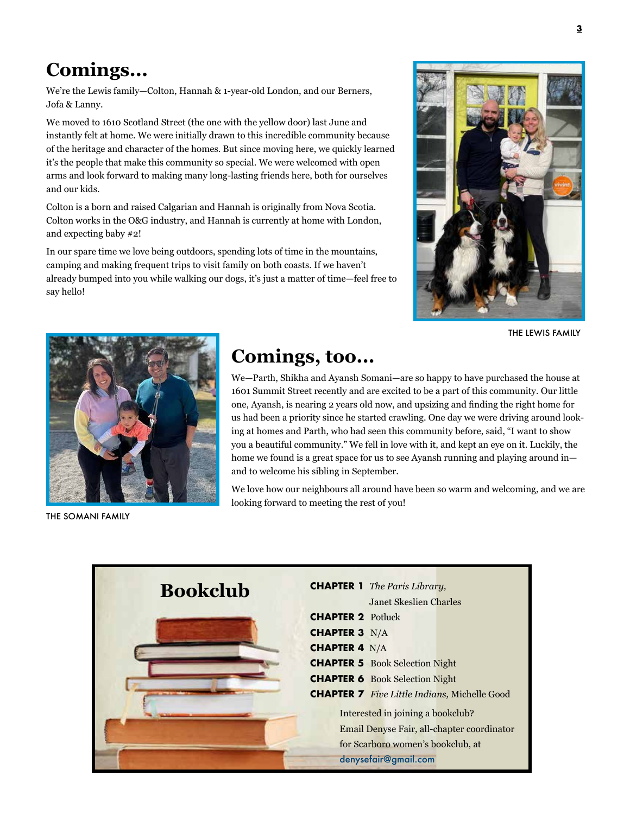# **Comings...**

We're the Lewis family—Colton, Hannah & 1-year-old London, and our Berners, Jofa & Lanny.

We moved to 1610 Scotland Street (the one with the yellow door) last June and instantly felt at home. We were initially drawn to this incredible community because of the heritage and character of the homes. But since moving here, we quickly learned it's the people that make this community so special. We were welcomed with open arms and look forward to making many long-lasting friends here, both for ourselves and our kids.

Colton is a born and raised Calgarian and Hannah is originally from Nova Scotia. Colton works in the O&G industry, and Hannah is currently at home with London, and expecting baby #2!

In our spare time we love being outdoors, spending lots of time in the mountains, camping and making frequent trips to visit family on both coasts. If we haven't already bumped into you while walking our dogs, it's just a matter of time—feel free to say hello!



THE LEWIS FAMILY



THE SOMANI FAMILY

# **Comings, too...**

We—Parth, Shikha and Ayansh Somani—are so happy to have purchased the house at 1601 Summit Street recently and are excited to be a part of this community. Our little one, Ayansh, is nearing 2 years old now, and upsizing and finding the right home for us had been a priority since he started crawling. One day we were driving around looking at homes and Parth, who had seen this community before, said, "I want to show you a beautiful community." We fell in love with it, and kept an eye on it. Luckily, the home we found is a great space for us to see Ayansh running and playing around in and to welcome his sibling in September.

We love how our neighbours all around have been so warm and welcoming, and we are looking forward to meeting the rest of you!

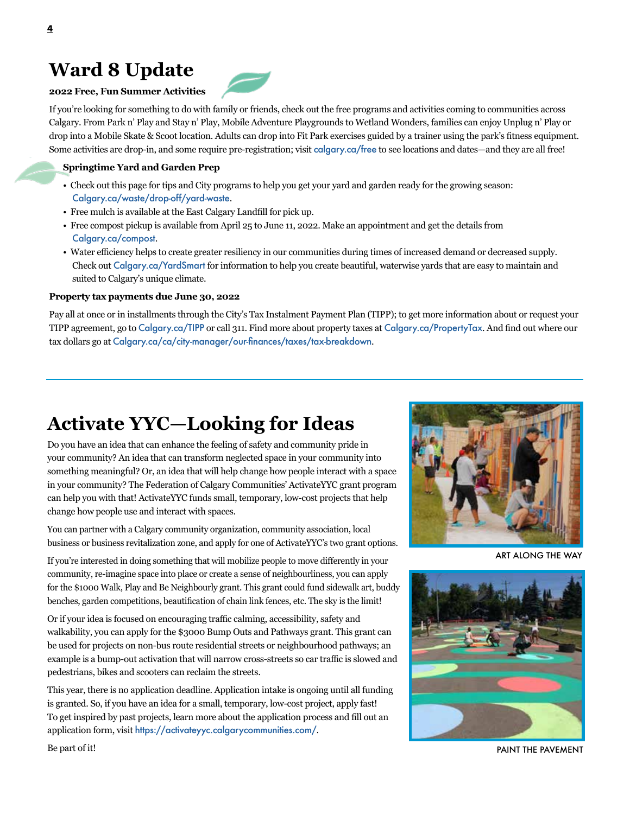## **Ward 8 Update**

### **2022 Free, Fun Summer Activities**

If you're looking for something to do with family or friends, check out the free programs and activities coming to communities across Calgary. From Park n' Play and Stay n' Play, Mobile Adventure Playgrounds to Wetland Wonders, families can enjoy Unplug n' Play or drop into a Mobile Skate & Scoot location. Adults can drop into Fit Park exercises guided by a trainer using the park's fitness equipment. Some activities are drop-in, and some require pre-registration; visit calgary.ca/free to see locations and dates—and they are all free!

### **Springtime Yard and Garden Prep**

- Check out this page for tips and City programs to help you get your yard and garden ready for the growing season: Calgary.ca/waste/drop-off/yard-waste.
- Free mulch is available at the East Calgary Landfill for pick up.
- Free compost pickup is available from April 25 to June 11, 2022. Make an appointment and get the details from Calgary.ca/compost.
- Water efficiency helps to create greater resiliency in our communities during times of increased demand or decreased supply. Check out Calgary.ca/YardSmart for information to help you create beautiful, waterwise yards that are easy to maintain and suited to Calgary's unique climate.

#### **Property tax payments due June 30, 2022**

Pay all at once or in installments through the City's Tax Instalment Payment Plan (TIPP); to get more information about or request your TIPP agreement, go to Calgary.ca/TIPP or call 311. Find more about property taxes at Calgary.ca/PropertyTax. And find out where our tax dollars go at Calgary.ca/ca/city-manager/our-finances/taxes/tax-breakdown.

# **Activate YYC—Looking for Ideas**

Do you have an idea that can enhance the feeling of safety and community pride in your community? An idea that can transform neglected space in your community into something meaningful? Or, an idea that will help change how people interact with a space in your community? The Federation of Calgary Communities' ActivateYYC grant program can help you with that! ActivateYYC funds small, temporary, low-cost projects that help change how people use and interact with spaces.

You can partner with a Calgary community organization, community association, local business or business revitalization zone, and apply for one of ActivateYYC's two grant options.

If you're interested in doing something that will mobilize people to move differently in your community, re-imagine space into place or create a sense of neighbourliness, you can apply for the \$1000 Walk, Play and Be Neighbourly grant. This grant could fund sidewalk art, buddy benches, garden competitions, beautification of chain link fences, etc. The sky is the limit!

Or if your idea is focused on encouraging traffic calming, accessibility, safety and walkability, you can apply for the \$3000 Bump Outs and Pathways grant. This grant can be used for projects on non-bus route residential streets or neighbourhood pathways; an example is a bump-out activation that will narrow cross-streets so car traffic is slowed and pedestrians, bikes and scooters can reclaim the streets.

This year, there is no application deadline. Application intake is ongoing until all funding is granted. So, if you have an idea for a small, temporary, low-cost project, apply fast! To get inspired by past projects, learn more about the application process and fill out an application form, visit https://activateyyc.calgarycommunities.com/.



ART ALONG THE WAY



**4**

Be part of it!

PAINT THE PAVEMENT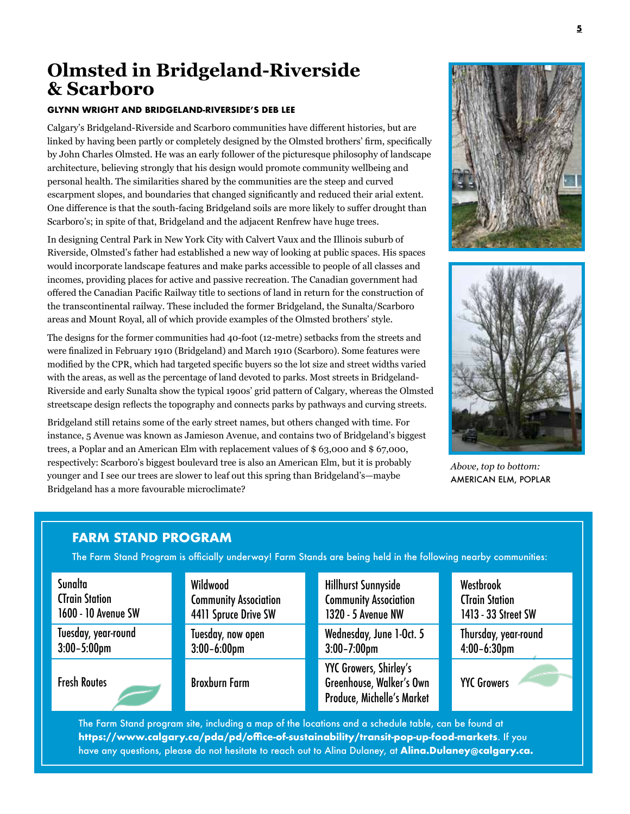### **Olmsted in Bridgeland-Riverside & Scarboro**

#### **GLYNN WRIGHT AND BRIDGELAND-RIVERSIDE'S DEB LEE**

Calgary's Bridgeland-Riverside and Scarboro communities have different histories, but are linked by having been partly or completely designed by the Olmsted brothers' firm, specifically by John Charles Olmsted. He was an early follower of the picturesque philosophy of landscape architecture, believing strongly that his design would promote community wellbeing and personal health. The similarities shared by the communities are the steep and curved escarpment slopes, and boundaries that changed significantly and reduced their arial extent. One difference is that the south-facing Bridgeland soils are more likely to suffer drought than Scarboro's; in spite of that, Bridgeland and the adjacent Renfrew have huge trees.

In designing Central Park in New York City with Calvert Vaux and the Illinois suburb of Riverside, Olmsted's father had established a new way of looking at public spaces. His spaces would incorporate landscape features and make parks accessible to people of all classes and incomes, providing places for active and passive recreation. The Canadian government had offered the Canadian Pacific Railway title to sections of land in return for the construction of the transcontinental railway. These included the former Bridgeland, the Sunalta/Scarboro areas and Mount Royal, all of which provide examples of the Olmsted brothers' style.

The designs for the former communities had 40-foot (12-metre) setbacks from the streets and were finalized in February 1910 (Bridgeland) and March 1910 (Scarboro). Some features were modified by the CPR, which had targeted specific buyers so the lot size and street widths varied with the areas, as well as the percentage of land devoted to parks. Most streets in Bridgeland-Riverside and early Sunalta show the typical 1900s' grid pattern of Calgary, whereas the Olmsted streetscape design reflects the topography and connects parks by pathways and curving streets.

Bridgeland still retains some of the early street names, but others changed with time. For instance, 5 Avenue was known as Jamieson Avenue, and contains two of Bridgeland's biggest trees, a Poplar and an American Elm with replacement values of \$ 63,000 and \$ 67,000, respectively: Scarboro's biggest boulevard tree is also an American Elm, but it is probably younger and I see our trees are slower to leaf out this spring than Bridgeland's—maybe Bridgeland has a more favourable microclimate?





*Above, top to bottom:*  AMERICAN ELM, POPLAR

### **FARM STAND PROGRAM**

The Farm Stand Program is officially underway! Farm Stands are being held in the following nearby communities:

| Sunalta               | Wildwood                     | <b>Hillhurst Sunnyside</b>                                                                     | Westbrook             |
|-----------------------|------------------------------|------------------------------------------------------------------------------------------------|-----------------------|
| <b>CTrain Station</b> | <b>Community Association</b> | <b>Community Association</b>                                                                   | <b>CTrain Station</b> |
| 1600 - 10 Avenue SW   | 4411 Spruce Drive SW         | 1320 - 5 Avenue NW                                                                             | 1413 - 33 Street SW   |
| Tuesday, year-round   | Tuesday, now open            | Wednesday, June 1-Oct. 5                                                                       | Thursday, year-round  |
| $3:00 - 5:00$ pm      | $3:00-6:00$ pm               | $3:00 - 7:00$ pm                                                                               | $4:00-6:30$ pm        |
| <b>Fresh Routes</b>   | <b>Broxburn Farm</b>         | <b>YYC Growers, Shirley's</b><br>Greenhouse, Walker's Own<br><b>Produce, Michelle's Market</b> | <b>YYC Growers</b>    |

The Farm Stand program site, including a map of the locations and a schedule table, can be found at **https://www.calgary.ca/pda/pd/office-of-sustainability/transit-pop-up-food-markets**. If you have any questions, please do not hesitate to reach out to Alina Dulaney, at **Alina.Dulaney@calgary.ca.**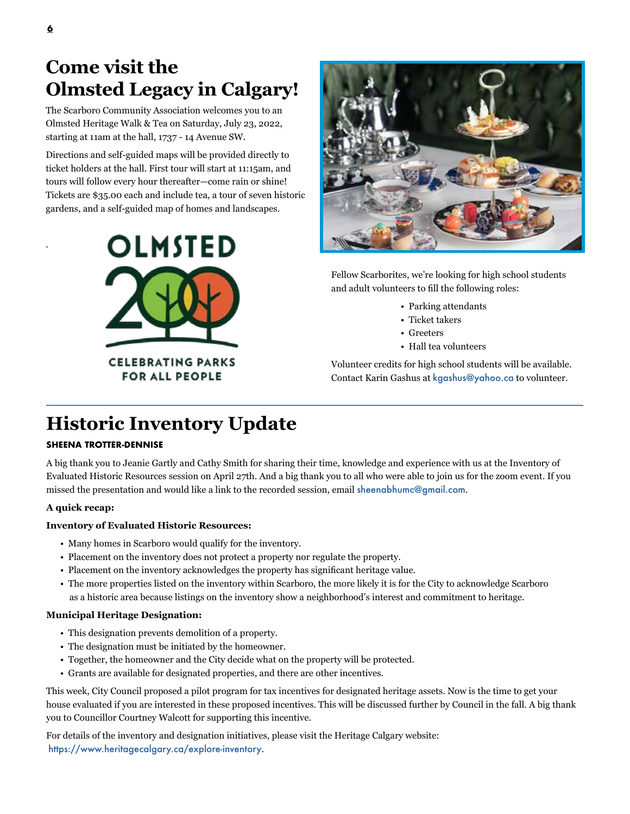## **Come visit the Olmsted Legacy in Calgary!**

The Scarboro Community Association welcomes you to an Olmsted Heritage Walk & Tea on Saturday, July 23, 2022, starting at 11am at the hall, 1737 - 14 Avenue SW.

Directions and self-guided maps will be provided directly to ticket holders at the hall. First tour will start at 11:15am, and tours will follow every hour thereafter—come rain or shine! Tickets are \$35.00 each and include tea, a tour of seven historic gardens, and a self-guided map of homes and landscapes.



Fellow Scarborites, we're looking for high school students and adult volunteers to fill the following roles:

- Parking attendants
- Ticket takers
- Greeters
- Hall tea volunteers

Volunteer credits for high school students will be available. Contact Karin Gashus at kgashus@yahoo.ca to volunteer.

# **Historic Inventory Update**

### **SHEENA TROTTER-DENNISE**

A big thank you to Jeanie Gartly and Cathy Smith for sharing their time, knowledge and experience with us at the Inventory of Evaluated Historic Resources session on April 27th. And a big thank you to all who were able to join us for the zoom event. If you missed the presentation and would like a link to the recorded session, email sheenabhumc@gmail.com.

### **A quick recap:**

### **Inventory of Evaluated Historic Resources:**

- Many homes in Scarboro would qualify for the inventory.
- Placement on the inventory does not protect a property nor regulate the property.
- Placement on the inventory acknowledges the property has significant heritage value.
- The more properties listed on the inventory within Scarboro, the more likely it is for the City to acknowledge Scarboro as a historic area because listings on the inventory show a neighborhood's interest and commitment to heritage.

### **Municipal Heritage Designation:**

- This designation prevents demolition of a property.
- The designation must be initiated by the homeowner.
- Together, the homeowner and the City decide what on the property will be protected.
- Grants are available for designated properties, and there are other incentives.

This week, City Council proposed a pilot program for tax incentives for designated heritage assets. Now is the time to get your house evaluated if you are interested in these proposed incentives. This will be discussed further by Council in the fall. A big thank you to Councillor Courtney Walcott for supporting this incentive.

For details of the inventory and designation initiatives, please visit the Heritage Calgary website: https://www.heritagecalgary.ca/explore-inventory.

.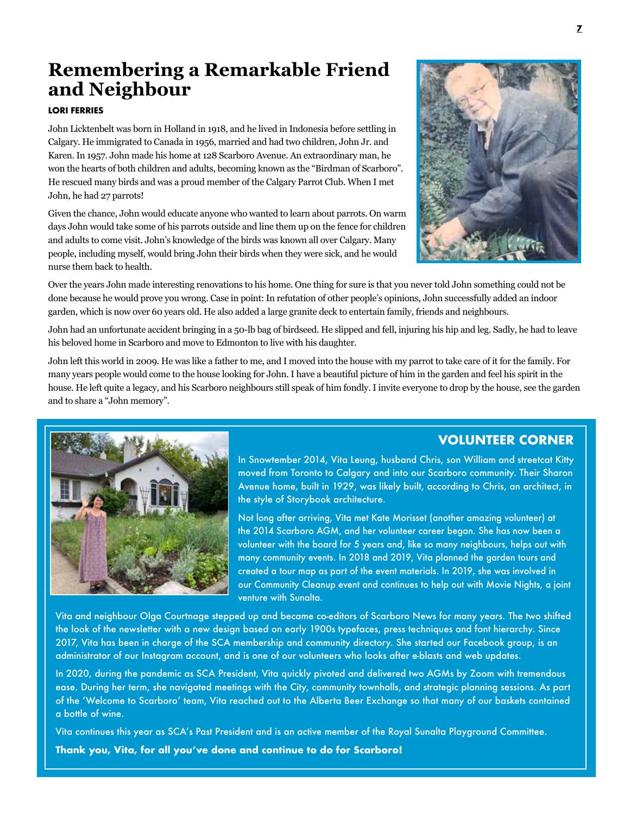## **Remembering a Remarkable Friend and Neighbour**

#### **LORI FERRIES**

John Licktenbelt was born in Holland in 1918, and he lived in Indonesia before settling in Calgary. He immigrated to Canada in 1956, married and had two children, John Jr. and Karen. In 1957. John made his home at 128 Scarboro Avenue. An extraordinary man, he won the hearts of both children and adults, becoming known as the "Birdman of Scarboro". He rescued many birds and was a proud member of the Calgary Parrot Club. When I met John, he had 27 parrots!

Given the chance, John would educate anyone who wanted to learn about parrots. On warm days John would take some of his parrots outside and line them up on the fence for children and adults to come visit. John's knowledge of the birds was known all over Calgary. Many people, including myself, would bring John their birds when they were sick, and he would nurse them back to health.



Over the years John made interesting renovations to his home. One thing for sure is that you never told John something could not be done because he would prove you wrong. Case in point: In refutation of other people's opinions, John successfully added an indoor garden, which is now over 60 years old. He also added a large granite deck to entertain family, friends and neighbours.

John had an unfortunate accident bringing in a 50-lb bag of birdseed. He slipped and fell, injuring his hip and leg. Sadly, he had to leave his beloved home in Scarboro and move to Edmonton to live with his daughter.

John left this world in 2009. He was like a father to me, and I moved into the house with my parrot to take care of it for the family. For many years people would come to the house looking for John. I have a beautiful picture of him in the garden and feel his spirit in the house. He left quite a legacy, and his Scarboro neighbours still speak of him fondly. I invite everyone to drop by the house, see the garden and to share a "John memory".



### **VOLUNTEER CORNER**

In Snowtember 2014, Vita Leung, husband Chris, son William and streetcat Kitty moved from Toronto to Calgary and into our Scarboro community. Their Sharon Avenue home, built in 1929, was likely built, according to Chris, an architect, in the style of Storybook architecture.

Not long after arriving, Vita met Kate Morisset (another amazing volunteer) at the 2014 Scarboro AGM, and her volunteer career began. She has now been a volunteer with the board for 5 years and, like so many neighbours, helps out with many community events. In 2018 and 2019, Vita planned the garden tours and created a tour map as part of the event materials. In 2019, she was involved in our Community Cleanup event and continues to help out with Movie Nights, a joint venture with Sunalta.

Vita and neighbour Olga Courtnage stepped up and became co-editors of Scarboro News for many years. The two shifted the look of the newsletter with a new design based on early 1900s typefaces, press techniques and font hierarchy. Since 2017, Vita has been in charge of the SCA membership and community directory. She started our Facebook group, is an administrator of our Instagram account, and is one of our volunteers who looks after e-blasts and web updates.

In 2020, during the pandemic as SCA President, Vita quickly pivoted and delivered two AGMs by Zoom with tremendous ease. During her term, she navigated meetings with the City, community townhalls, and strategic planning sessions. As part of the 'Welcome to Scarboro' team, Vita reached out to the Alberta Beer Exchange so that many of our baskets contained a bottle of wine.

Vita continues this year as SCA's Past President and is an active member of the Royal Sunalta Playground Committee. **Thank you, Vita, for all you've done and continue to do for Scarboro!**